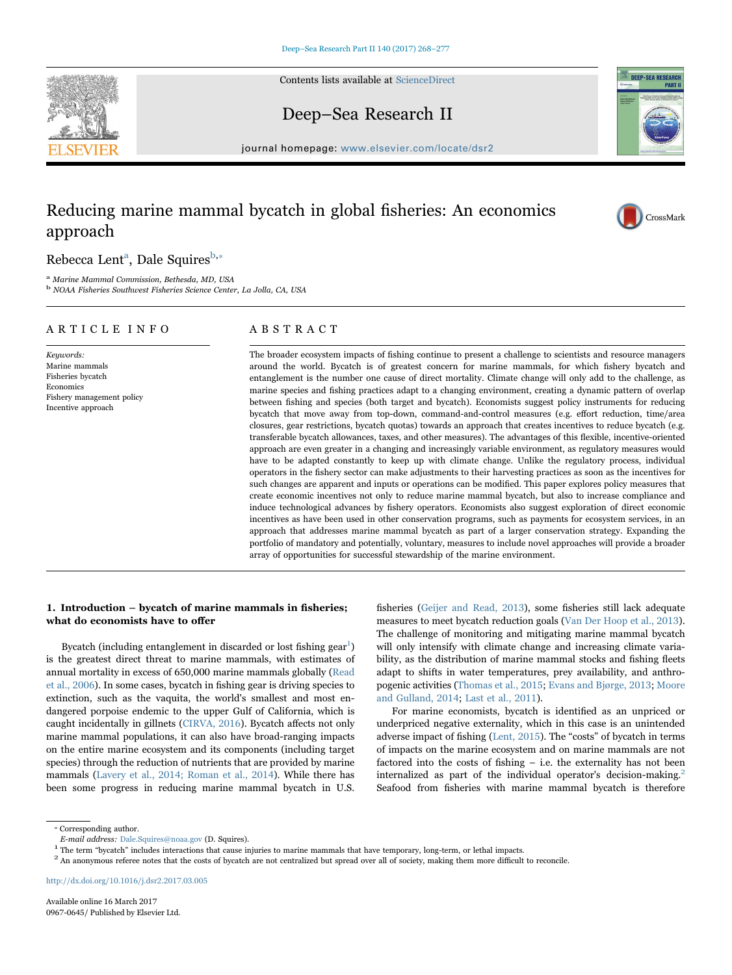Contents lists available at [ScienceDirect](http://www.sciencedirect.com/science/journal/09670645)

Deep–Sea Research II

journal homepage: [www.elsevier.com/locate/dsr2](http://www.elsevier.com/locate/dsr2)

# Reducing marine mammal bycatch in global fisheries: An economics approach

# Rebecca Lent<sup>a</sup>[, Dale Squires](#page-0-0)<sup>[b,](#page-0-1)\*</sup>

<span id="page-0-0"></span><sup>a</sup> Marine Mammal Commission, Bethesda, MD, USA

<span id="page-0-1"></span><sup>b</sup> NOAA Fisheries Southwest Fisheries Science Center, La Jolla, CA, USA

# ARTICLE INFO

Keywords: Marine mammals Fisheries bycatch Economics Fishery management policy Incentive approach

## ABSTRACT

The broader ecosystem impacts of fishing continue to present a challenge to scientists and resource managers around the world. Bycatch is of greatest concern for marine mammals, for which fishery bycatch and entanglement is the number one cause of direct mortality. Climate change will only add to the challenge, as marine species and fishing practices adapt to a changing environment, creating a dynamic pattern of overlap between fishing and species (both target and bycatch). Economists suggest policy instruments for reducing bycatch that move away from top-down, command-and-control measures (e.g. effort reduction, time/area closures, gear restrictions, bycatch quotas) towards an approach that creates incentives to reduce bycatch (e.g. transferable bycatch allowances, taxes, and other measures). The advantages of this flexible, incentive-oriented approach are even greater in a changing and increasingly variable environment, as regulatory measures would have to be adapted constantly to keep up with climate change. Unlike the regulatory process, individual operators in the fishery sector can make adjustments to their harvesting practices as soon as the incentives for such changes are apparent and inputs or operations can be modified. This paper explores policy measures that create economic incentives not only to reduce marine mammal bycatch, but also to increase compliance and induce technological advances by fishery operators. Economists also suggest exploration of direct economic incentives as have been used in other conservation programs, such as payments for ecosystem services, in an approach that addresses marine mammal bycatch as part of a larger conservation strategy. Expanding the portfolio of mandatory and potentially, voluntary, measures to include novel approaches will provide a broader array of opportunities for successful stewardship of the marine environment.

# 1. Introduction – bycatch of marine mammals in fisheries; what do economists have to offer

Bycatch (including entanglement in discarded or lost fishing  $gen<sup>1</sup>$ [\)](#page-0-3) is the greatest direct threat to marine mammals, with estimates of annual mortality in excess of 650,000 marine mammals globally ([Read](#page-9-0) [et al., 2006\)](#page-9-0). In some cases, bycatch in fishing gear is driving species to extinction, such as the vaquita, the world's smallest and most endangered porpoise endemic to the upper Gulf of California, which is caught incidentally in gillnets ([CIRVA, 2016\)](#page-8-0). Bycatch affects not only marine mammal populations, it can also have broad-ranging impacts on the entire marine ecosystem and its components (including target species) through the reduction of nutrients that are provided by marine mammals ([Lavery et al., 2014; Roman et al., 2014\)](#page-9-1). While there has been some progress in reducing marine mammal bycatch in U.S.

fisheries ([Geijer and Read, 2013\)](#page-8-1), some fisheries still lack adequate measures to meet bycatch reduction goals ([Van Der Hoop et al., 2013\)](#page-9-2). The challenge of monitoring and mitigating marine mammal bycatch will only intensify with climate change and increasing climate variability, as the distribution of marine mammal stocks and fishing fleets adapt to shifts in water temperatures, prey availability, and anthropogenic activities [\(Thomas et al., 2015;](#page-9-3) [Evans and Bjørge, 2013](#page-8-2); [Moore](#page-9-4) [and Gulland, 2014;](#page-9-4) [Last et al., 2011\)](#page-9-5).

For marine economists, bycatch is identified as an unpriced or underpriced negative externality, which in this case is an unintended adverse impact of fishing ([Lent, 2015\)](#page-9-6). The "costs" of bycatch in terms of impacts on the marine ecosystem and on marine mammals are not factored into the costs of fishing – i.e. the externality has not been internalized as part of the individual operator's decision-making.<sup>[2](#page-0-4)</sup> Seafood from fisheries with marine mammal bycatch is therefore

<http://dx.doi.org/10.1016/j.dsr2.2017.03.005>





CrossMark

<span id="page-0-2"></span><sup>⁎</sup> Corresponding author.

<span id="page-0-4"></span>

<span id="page-0-3"></span>*E-mail address:* Dale.Squires@noaa.gov (D. Squires).<br><sup>1</sup> The term "bycatch" includes interactions that cause injuries to marine mammals that have temporary, long-term, or lethal impacts.<br><sup>2</sup> An anonymous referee notes th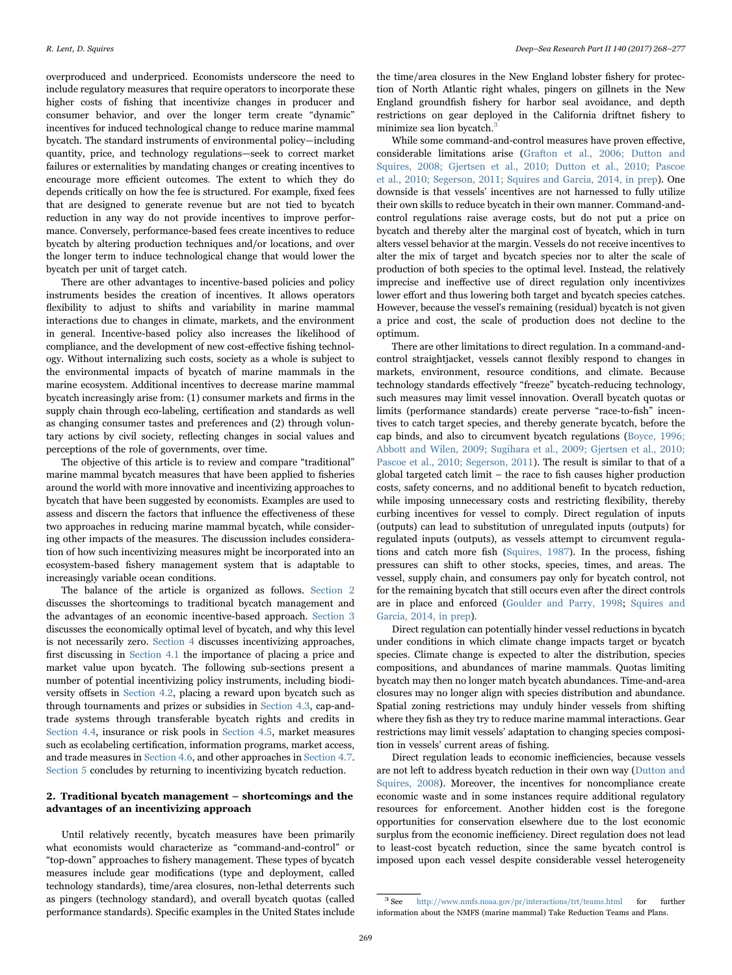overproduced and underpriced. Economists underscore the need to include regulatory measures that require operators to incorporate these higher costs of fishing that incentivize changes in producer and consumer behavior, and over the longer term create "dynamic" incentives for induced technological change to reduce marine mammal bycatch. The standard instruments of environmental policy—including quantity, price, and technology regulations—seek to correct market failures or externalities by mandating changes or creating incentives to encourage more efficient outcomes. The extent to which they do depends critically on how the fee is structured. For example, fixed fees that are designed to generate revenue but are not tied to bycatch reduction in any way do not provide incentives to improve performance. Conversely, performance-based fees create incentives to reduce bycatch by altering production techniques and/or locations, and over the longer term to induce technological change that would lower the bycatch per unit of target catch.

There are other advantages to incentive-based policies and policy instruments besides the creation of incentives. It allows operators flexibility to adjust to shifts and variability in marine mammal interactions due to changes in climate, markets, and the environment in general. Incentive-based policy also increases the likelihood of compliance, and the development of new cost-effective fishing technology. Without internalizing such costs, society as a whole is subject to the environmental impacts of bycatch of marine mammals in the marine ecosystem. Additional incentives to decrease marine mammal bycatch increasingly arise from: (1) consumer markets and firms in the supply chain through eco-labeling, certification and standards as well as changing consumer tastes and preferences and (2) through voluntary actions by civil society, reflecting changes in social values and perceptions of the role of governments, over time.

The objective of this article is to review and compare "traditional" marine mammal bycatch measures that have been applied to fisheries around the world with more innovative and incentivizing approaches to bycatch that have been suggested by economists. Examples are used to assess and discern the factors that influence the effectiveness of these two approaches in reducing marine mammal bycatch, while considering other impacts of the measures. The discussion includes consideration of how such incentivizing measures might be incorporated into an ecosystem-based fishery management system that is adaptable to increasingly variable ocean conditions.

The balance of the article is organized as follows. [Section 2](#page-1-0) discusses the shortcomings to traditional bycatch management and the advantages of an economic incentive-based approach. [Section 3](#page-2-0) discusses the economically optimal level of bycatch, and why this level is not necessarily zero. [Section 4](#page-3-0) discusses incentivizing approaches, first discussing in [Section 4.1](#page-3-1) the importance of placing a price and market value upon bycatch. The following sub-sections present a number of potential incentivizing policy instruments, including biodiversity offsets in [Section 4.2,](#page-3-2) placing a reward upon bycatch such as through tournaments and prizes or subsidies in [Section 4.3](#page-4-0), cap-andtrade systems through transferable bycatch rights and credits in [Section 4.4](#page-5-0), insurance or risk pools in [Section 4.5](#page-6-0), market measures such as ecolabeling certification, information programs, market access, and trade measures in [Section 4.6](#page-7-0), and other approaches in [Section 4.7.](#page-7-1) [Section 5](#page-8-3) concludes by returning to incentivizing bycatch reduction.

#### <span id="page-1-0"></span>2. Traditional bycatch management – shortcomings and the advantages of an incentivizing approach

Until relatively recently, bycatch measures have been primarily what economists would characterize as "command-and-control" or "top-down" approaches to fishery management. These types of bycatch measures include gear modifications (type and deployment, called technology standards), time/area closures, non-lethal deterrents such as pingers (technology standard), and overall bycatch quotas (called performance standards). Specific examples in the United States include

the time/area closures in the New England lobster fishery for protection of North Atlantic right whales, pingers on gillnets in the New England groundfish fishery for harbor seal avoidance, and depth restrictions on gear deployed in the California driftnet fishery to minimize sea lion bycatch.<sup>[3](#page-1-1)</sup>

While some command-and-control measures have proven effective, considerable limitations arise [\(Grafton et al., 2006; Dutton and](#page-8-4) [Squires, 2008; Gjertsen et al., 2010; Dutton et al., 2010; Pascoe](#page-8-4) [et al., 2010; Segerson, 2011; Squires and Garcia, 2014, in prep](#page-8-4)). One downside is that vessels' incentives are not harnessed to fully utilize their own skills to reduce bycatch in their own manner. Command-andcontrol regulations raise average costs, but do not put a price on bycatch and thereby alter the marginal cost of bycatch, which in turn alters vessel behavior at the margin. Vessels do not receive incentives to alter the mix of target and bycatch species nor to alter the scale of production of both species to the optimal level. Instead, the relatively imprecise and ineffective use of direct regulation only incentivizes lower effort and thus lowering both target and bycatch species catches. However, because the vessel's remaining (residual) bycatch is not given a price and cost, the scale of production does not decline to the optimum.

There are other limitations to direct regulation. In a command-andcontrol straightjacket, vessels cannot flexibly respond to changes in markets, environment, resource conditions, and climate. Because technology standards effectively "freeze" bycatch-reducing technology, such measures may limit vessel innovation. Overall bycatch quotas or limits (performance standards) create perverse "race-to-fish" incentives to catch target species, and thereby generate bycatch, before the cap binds, and also to circumvent bycatch regulations ([Boyce, 1996;](#page-8-5) [Abbott and Wilen, 2009; Sugihara et al., 2009; Gjertsen et al., 2010;](#page-8-5) [Pascoe et al., 2010; Segerson, 2011](#page-8-5)). The result is similar to that of a global targeted catch limit – the race to fish causes higher production costs, safety concerns, and no additional benefit to bycatch reduction, while imposing unnecessary costs and restricting flexibility, thereby curbing incentives for vessel to comply. Direct regulation of inputs (outputs) can lead to substitution of unregulated inputs (outputs) for regulated inputs (outputs), as vessels attempt to circumvent regulations and catch more fish [\(Squires, 1987](#page-9-7)). In the process, fishing pressures can shift to other stocks, species, times, and areas. The vessel, supply chain, and consumers pay only for bycatch control, not for the remaining bycatch that still occurs even after the direct controls are in place and enforced [\(Goulder and Parry, 1998;](#page-8-6) [Squires and](#page-9-8) [Garcia, 2014, in prep](#page-9-8)).

Direct regulation can potentially hinder vessel reductions in bycatch under conditions in which climate change impacts target or bycatch species. Climate change is expected to alter the distribution, species compositions, and abundances of marine mammals. Quotas limiting bycatch may then no longer match bycatch abundances. Time-and-area closures may no longer align with species distribution and abundance. Spatial zoning restrictions may unduly hinder vessels from shifting where they fish as they try to reduce marine mammal interactions. Gear restrictions may limit vessels' adaptation to changing species composition in vessels' current areas of fishing.

Direct regulation leads to economic inefficiencies, because vessels are not left to address bycatch reduction in their own way [\(Dutton and](#page-8-7) [Squires, 2008\)](#page-8-7). Moreover, the incentives for noncompliance create economic waste and in some instances require additional regulatory resources for enforcement. Another hidden cost is the foregone opportunities for conservation elsewhere due to the lost economic surplus from the economic inefficiency. Direct regulation does not lead to least-cost bycatch reduction, since the same bycatch control is imposed upon each vessel despite considerable vessel heterogeneity

<span id="page-1-1"></span><sup>3</sup> See http://www.nmfs.noaa.gov/pr/interactions/trt/teams.html for further information about the NMFS (marine mammal) Take Reduction Teams and Plans.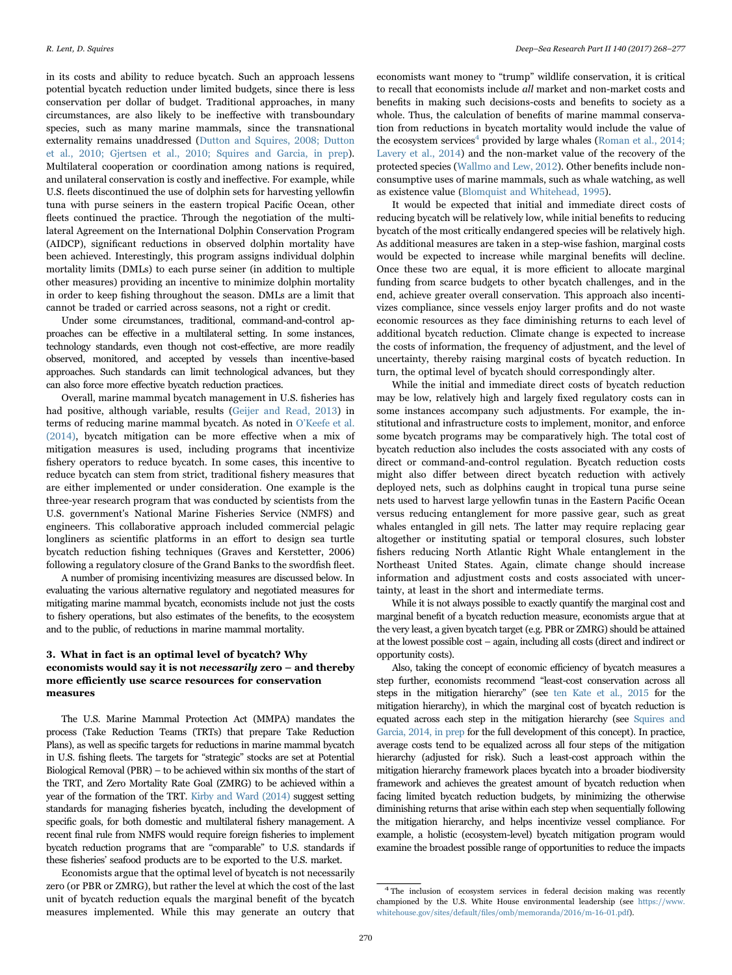in its costs and ability to reduce bycatch. Such an approach lessens potential bycatch reduction under limited budgets, since there is less conservation per dollar of budget. Traditional approaches, in many circumstances, are also likely to be ineffective with transboundary species, such as many marine mammals, since the transnational externality remains unaddressed [\(Dutton and Squires, 2008; Dutton](#page-8-7) [et al., 2010; Gjertsen et al., 2010; Squires and Garcia, in prep\)](#page-8-7). Multilateral cooperation or coordination among nations is required, and unilateral conservation is costly and ineffective. For example, while U.S. fleets discontinued the use of dolphin sets for harvesting yellowfin tuna with purse seiners in the eastern tropical Pacific Ocean, other fleets continued the practice. Through the negotiation of the multilateral Agreement on the International Dolphin Conservation Program (AIDCP), significant reductions in observed dolphin mortality have been achieved. Interestingly, this program assigns individual dolphin mortality limits (DMLs) to each purse seiner (in addition to multiple other measures) providing an incentive to minimize dolphin mortality in order to keep fishing throughout the season. DMLs are a limit that cannot be traded or carried across seasons, not a right or credit.

Under some circumstances, traditional, command-and-control approaches can be effective in a multilateral setting. In some instances, technology standards, even though not cost-effective, are more readily observed, monitored, and accepted by vessels than incentive-based approaches. Such standards can limit technological advances, but they can also force more effective bycatch reduction practices.

Overall, marine mammal bycatch management in U.S. fisheries has had positive, although variable, results [\(Geijer and Read, 2013\)](#page-8-1) in terms of reducing marine mammal bycatch. As noted in O'[Keefe et al.](#page-9-9) [\(2014\),](#page-9-9) bycatch mitigation can be more effective when a mix of mitigation measures is used, including programs that incentivize fishery operators to reduce bycatch. In some cases, this incentive to reduce bycatch can stem from strict, traditional fishery measures that are either implemented or under consideration. One example is the three-year research program that was conducted by scientists from the U.S. government's National Marine Fisheries Service (NMFS) and engineers. This collaborative approach included commercial pelagic longliners as scientific platforms in an effort to design sea turtle bycatch reduction fishing techniques (Graves and Kerstetter, 2006) following a regulatory closure of the Grand Banks to the swordfish fleet.

A number of promising incentivizing measures are discussed below. In evaluating the various alternative regulatory and negotiated measures for mitigating marine mammal bycatch, economists include not just the costs to fishery operations, but also estimates of the benefits, to the ecosystem and to the public, of reductions in marine mammal mortality.

# <span id="page-2-0"></span>3. What in fact is an optimal level of bycatch? Why economists would say it is not necessarily zero – and thereby more efficiently use scarce resources for conservation measures

The U.S. Marine Mammal Protection Act (MMPA) mandates the process (Take Reduction Teams (TRTs) that prepare Take Reduction Plans), as well as specific targets for reductions in marine mammal bycatch in U.S. fishing fleets. The targets for "strategic" stocks are set at Potential Biological Removal (PBR) – to be achieved within six months of the start of the TRT, and Zero Mortality Rate Goal (ZMRG) to be achieved within a year of the formation of the TRT. [Kirby and Ward \(2014\)](#page-9-10) suggest setting standards for managing fisheries bycatch, including the development of specific goals, for both domestic and multilateral fishery management. A recent final rule from NMFS would require foreign fisheries to implement bycatch reduction programs that are "comparable" to U.S. standards if these fisheries' seafood products are to be exported to the U.S. market.

Economists argue that the optimal level of bycatch is not necessarily zero (or PBR or ZMRG), but rather the level at which the cost of the last unit of bycatch reduction equals the marginal benefit of the bycatch measures implemented. While this may generate an outcry that

economists want money to "trump" wildlife conservation, it is critical to recall that economists include all market and non-market costs and benefits in making such decisions-costs and benefits to society as a whole. Thus, the calculation of benefits of marine mammal conservation from reductions in bycatch mortality would include the value of the ecosystem services<sup>4</sup> [provided by large whales \(](#page-2-1)[Roman et al., 2014;](#page-9-11) [Lavery et al., 2014](#page-9-11)) and the non-market value of the recovery of the protected species [\(Wallmo and Lew, 2012\)](#page-9-12). Other benefits include nonconsumptive uses of marine mammals, such as whale watching, as well as existence value [\(Blomquist and Whitehead, 1995](#page-8-8)).

It would be expected that initial and immediate direct costs of reducing bycatch will be relatively low, while initial benefits to reducing bycatch of the most critically endangered species will be relatively high. As additional measures are taken in a step-wise fashion, marginal costs would be expected to increase while marginal benefits will decline. Once these two are equal, it is more efficient to allocate marginal funding from scarce budgets to other bycatch challenges, and in the end, achieve greater overall conservation. This approach also incentivizes compliance, since vessels enjoy larger profits and do not waste economic resources as they face diminishing returns to each level of additional bycatch reduction. Climate change is expected to increase the costs of information, the frequency of adjustment, and the level of uncertainty, thereby raising marginal costs of bycatch reduction. In turn, the optimal level of bycatch should correspondingly alter.

While the initial and immediate direct costs of bycatch reduction may be low, relatively high and largely fixed regulatory costs can in some instances accompany such adjustments. For example, the institutional and infrastructure costs to implement, monitor, and enforce some bycatch programs may be comparatively high. The total cost of bycatch reduction also includes the costs associated with any costs of direct or command-and-control regulation. Bycatch reduction costs might also differ between direct bycatch reduction with actively deployed nets, such as dolphins caught in tropical tuna purse seine nets used to harvest large yellowfin tunas in the Eastern Pacific Ocean versus reducing entanglement for more passive gear, such as great whales entangled in gill nets. The latter may require replacing gear altogether or instituting spatial or temporal closures, such lobster fishers reducing North Atlantic Right Whale entanglement in the Northeast United States. Again, climate change should increase information and adjustment costs and costs associated with uncertainty, at least in the short and intermediate terms.

While it is not always possible to exactly quantify the marginal cost and marginal benefit of a bycatch reduction measure, economists argue that at the very least, a given bycatch target (e.g. PBR or ZMRG) should be attained at the lowest possible cost – again, including all costs (direct and indirect or opportunity costs).

Also, taking the concept of economic efficiency of bycatch measures a step further, economists recommend "least-cost conservation across all steps in the mitigation hierarchy" (see [ten Kate et al., 2015](#page-9-13) for the mitigation hierarchy), in which the marginal cost of bycatch reduction is equated across each step in the mitigation hierarchy (see [Squires and](#page-9-8) [Garcia, 2014, in prep](#page-9-8) for the full development of this concept). In practice, average costs tend to be equalized across all four steps of the mitigation hierarchy (adjusted for risk). Such a least-cost approach within the mitigation hierarchy framework places bycatch into a broader biodiversity framework and achieves the greatest amount of bycatch reduction when facing limited bycatch reduction budgets, by minimizing the otherwise diminishing returns that arise within each step when sequentially following the mitigation hierarchy, and helps incentivize vessel compliance. For example, a holistic (ecosystem-level) bycatch mitigation program would examine the broadest possible range of opportunities to reduce the impacts

<span id="page-2-1"></span><sup>&</sup>lt;sup>4</sup> The inclusion of ecosystem services in federal decision making was recently championed by the U.S. White House environmental leadership (see https://www. whitehouse.gov/sites/default/files/omb/memoranda/2016/m-16-01.pdf).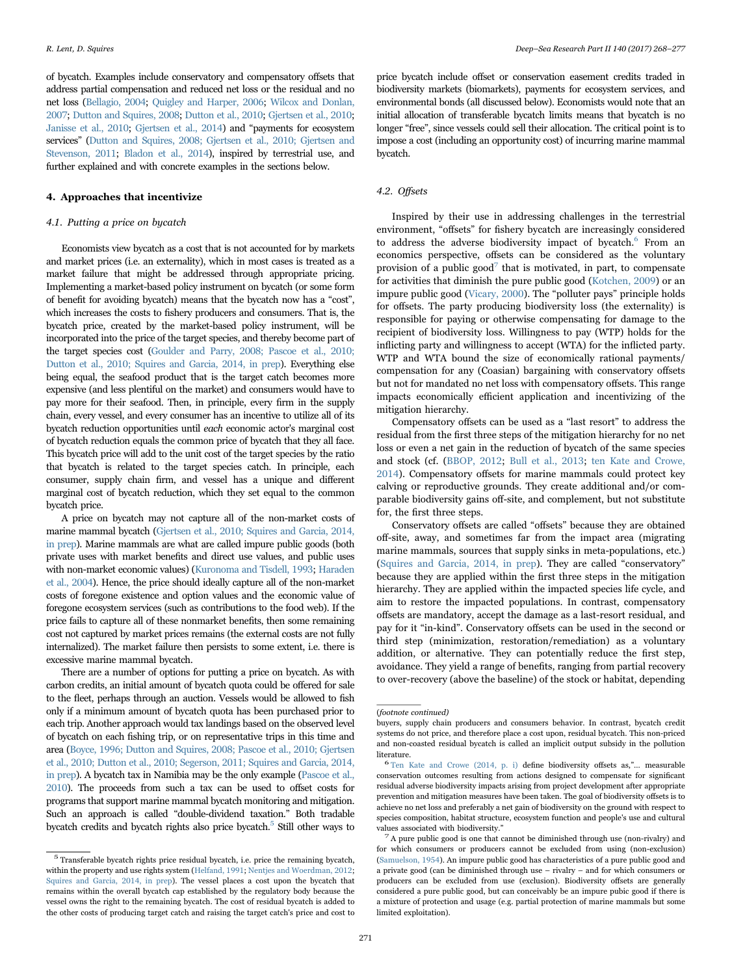of bycatch. Examples include conservatory and compensatory offsets that address partial compensation and reduced net loss or the residual and no net loss [\(Bellagio, 2004](#page-8-9); [Quigley and Harper, 2006;](#page-9-14) [Wilcox and Donlan,](#page-9-15) [2007;](#page-9-15) [Dutton and Squires, 2008;](#page-8-7) [Dutton et al., 2010;](#page-8-10) [Gjertsen et al., 2010](#page-8-11); [Janisse et al., 2010;](#page-9-16) [Gjertsen et al., 2014\)](#page-8-12) and "payments for ecosystem services" ([Dutton and Squires, 2008; Gjertsen et al., 2010; Gjertsen and](#page-8-7) [Stevenson, 2011;](#page-8-7) [Bladon et al., 2014\)](#page-8-13), inspired by terrestrial use, and further explained and with concrete examples in the sections below.

#### <span id="page-3-0"></span>4. Approaches that incentivize

#### <span id="page-3-1"></span>4.1. Putting a price on bycatch

Economists view bycatch as a cost that is not accounted for by markets and market prices (i.e. an externality), which in most cases is treated as a market failure that might be addressed through appropriate pricing. Implementing a market-based policy instrument on bycatch (or some form of benefit for avoiding bycatch) means that the bycatch now has a "cost", which increases the costs to fishery producers and consumers. That is, the bycatch price, created by the market-based policy instrument, will be incorporated into the price of the target species, and thereby become part of the target species cost [\(Goulder and Parry, 2008; Pascoe et al., 2010;](#page-8-6) [Dutton et al., 2010; Squires and Garcia, 2014, in prep](#page-8-6)). Everything else being equal, the seafood product that is the target catch becomes more expensive (and less plentiful on the market) and consumers would have to pay more for their seafood. Then, in principle, every firm in the supply chain, every vessel, and every consumer has an incentive to utilize all of its bycatch reduction opportunities until each economic actor's marginal cost of bycatch reduction equals the common price of bycatch that they all face. This bycatch price will add to the unit cost of the target species by the ratio that bycatch is related to the target species catch. In principle, each consumer, supply chain firm, and vessel has a unique and different marginal cost of bycatch reduction, which they set equal to the common bycatch price.

A price on bycatch may not capture all of the non-market costs of marine mammal bycatch [\(Gjertsen et al., 2010; Squires and Garcia, 2014,](#page-8-11) [in prep](#page-8-11)). Marine mammals are what are called impure public goods (both private uses with market benefits and direct use values, and public uses with non-market economic values) ([Kuronoma and Tisdell, 1993;](#page-9-17) [Haraden](#page-9-18) [et al., 2004](#page-9-18)). Hence, the price should ideally capture all of the non-market costs of foregone existence and option values and the economic value of foregone ecosystem services (such as contributions to the food web). If the price fails to capture all of these nonmarket benefits, then some remaining cost not captured by market prices remains (the external costs are not fully internalized). The market failure then persists to some extent, i.e. there is excessive marine mammal bycatch.

There are a number of options for putting a price on bycatch. As with carbon credits, an initial amount of bycatch quota could be offered for sale to the fleet, perhaps through an auction. Vessels would be allowed to fish only if a minimum amount of bycatch quota has been purchased prior to each trip. Another approach would tax landings based on the observed level of bycatch on each fishing trip, or on representative trips in this time and area [\(Boyce, 1996; Dutton and Squires, 2008; Pascoe et al., 2010; Gjertsen](#page-8-5) [et al., 2010; Dutton et al., 2010; Segerson, 2011; Squires and Garcia, 2014,](#page-8-5) [in prep\)](#page-8-5). A bycatch tax in Namibia may be the only example [\(Pascoe et al.,](#page-9-19) [2010\)](#page-9-19). The proceeds from such a tax can be used to offset costs for programs that support marine mammal bycatch monitoring and mitigation. Such an approach is called "double-dividend taxation." Both tradable bycatch credits and bycatch rights also price bycatch.<sup>5</sup> [Still other ways to](#page-3-3)

price bycatch include offset or conservation easement credits traded in biodiversity markets (biomarkets), payments for ecosystem services, and environmental bonds (all discussed below). Economists would note that an initial allocation of transferable bycatch limits means that bycatch is no longer "free", since vessels could sell their allocation. The critical point is to impose a cost (including an opportunity cost) of incurring marine mammal bycatch.

#### <span id="page-3-2"></span>4.2. Offsets

Inspired by their use in addressing challenges in the terrestrial environment, "offsets" for fishery bycatch are increasingly considered to address the adverse biodiversity impact of bycatch.<sup>6</sup> [From an](#page-3-4) economics perspective, offsets can be considered as the voluntary provision of a public good<sup>7</sup> [that is motivated, in part, to compensate](#page-3-5) for activities that diminish the pure public good ([Kotchen, 2009\)](#page-9-20) or an impure public good [\(Vicary, 2000](#page-9-21)). The "polluter pays" principle holds for offsets. The party producing biodiversity loss (the externality) is responsible for paying or otherwise compensating for damage to the recipient of biodiversity loss. Willingness to pay (WTP) holds for the inflicting party and willingness to accept (WTA) for the inflicted party. WTP and WTA bound the size of economically rational payments/ compensation for any (Coasian) bargaining with conservatory offsets but not for mandated no net loss with compensatory offsets. This range impacts economically efficient application and incentivizing of the mitigation hierarchy.

Compensatory offsets can be used as a "last resort" to address the residual from the first three steps of the mitigation hierarchy for no net loss or even a net gain in the reduction of bycatch of the same species and stock (cf. ([BBOP, 2012;](#page-8-14) [Bull et al., 2013](#page-8-15); [ten Kate and Crowe,](#page-9-22) [2014\)](#page-9-22). Compensatory offsets for marine mammals could protect key calving or reproductive grounds. They create additional and/or comparable biodiversity gains off-site, and complement, but not substitute for, the first three steps.

Conservatory offsets are called "offsets" because they are obtained off-site, away, and sometimes far from the impact area (migrating marine mammals, sources that supply sinks in meta-populations, etc.) ([Squires and Garcia, 2014, in prep\)](#page-9-8). They are called "conservatory" because they are applied within the first three steps in the mitigation hierarchy. They are applied within the impacted species life cycle, and aim to restore the impacted populations. In contrast, compensatory offsets are mandatory, accept the damage as a last-resort residual, and pay for it "in-kind". Conservatory offsets can be used in the second or third step (minimization, restoration/remediation) as a voluntary addition, or alternative. They can potentially reduce the first step, avoidance. They yield a range of benefits, ranging from partial recovery to over-recovery (above the baseline) of the stock or habitat, depending

<span id="page-3-3"></span> $^{\rm 5}$  Transferable by<br>catch rights price residual by<br>catch, i.e. price the remaining by<br>catch, within the property and use rights system [\(Helfand, 1991;](#page-9-23) [Nentjes and Woerdman, 2012;](#page-9-24) [Squires and Garcia, 2014, in prep](#page-9-8)). The vessel places a cost upon the bycatch that remains within the overall bycatch cap established by the regulatory body because the vessel owns the right to the remaining bycatch. The cost of residual bycatch is added to the other costs of producing target catch and raising the target catch's price and cost to

<sup>(</sup>footnote continued)

buyers, supply chain producers and consumers behavior. In contrast, bycatch credit systems do not price, and therefore place a cost upon, residual bycatch. This non-priced and non-coasted residual bycatch is called an implicit output subsidy in the pollution

<span id="page-3-4"></span>literature. <sup>6</sup> [Ten Kate and Crowe \(2014, p. i\)](#page-9-22) define biodiversity offsets as,"… measurable conservation outcomes resulting from actions designed to compensate for significant residual adverse biodiversity impacts arising from project development after appropriate prevention and mitigation measures have been taken. The goal of biodiversity offsets is to achieve no net loss and preferably a net gain of biodiversity on the ground with respect to species composition, habitat structure, ecosystem function and people's use and cultural

<span id="page-3-5"></span>values associated with biodiversity." <sup>7</sup> A pure public good is one that cannot be diminished through use (non-rivalry) and for which consumers or producers cannot be excluded from using (non-exclusion) ([Samuelson, 1954\)](#page-9-25). An impure public good has characteristics of a pure public good and a private good (can be diminished through use – rivalry – and for which consumers or producers can be excluded from use (exclusion). Biodiversity offsets are generally considered a pure public good, but can conceivably be an impure pubic good if there is a mixture of protection and usage (e.g. partial protection of marine mammals but some limited exploitation).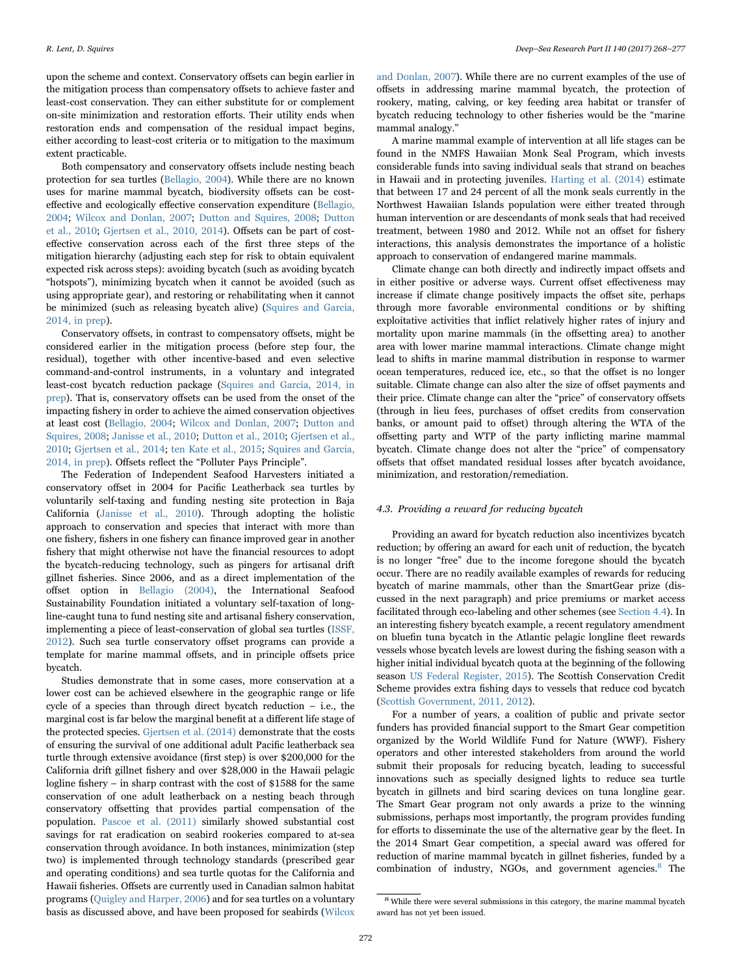upon the scheme and context. Conservatory offsets can begin earlier in the mitigation process than compensatory offsets to achieve faster and least-cost conservation. They can either substitute for or complement on-site minimization and restoration efforts. Their utility ends when restoration ends and compensation of the residual impact begins, either according to least-cost criteria or to mitigation to the maximum extent practicable.

Both compensatory and conservatory offsets include nesting beach protection for sea turtles ([Bellagio, 2004](#page-8-9)). While there are no known uses for marine mammal bycatch, biodiversity offsets can be costeffective and ecologically effective conservation expenditure [\(Bellagio,](#page-8-9) [2004;](#page-8-9) [Wilcox and Donlan, 2007;](#page-9-15) [Dutton and Squires, 2008;](#page-8-7) [Dutton](#page-8-10) [et al., 2010;](#page-8-10) [Gjertsen et al., 2010, 2014\)](#page-8-11). Offsets can be part of costeffective conservation across each of the first three steps of the mitigation hierarchy (adjusting each step for risk to obtain equivalent expected risk across steps): avoiding bycatch (such as avoiding bycatch "hotspots"), minimizing bycatch when it cannot be avoided (such as using appropriate gear), and restoring or rehabilitating when it cannot be minimized (such as releasing bycatch alive) ([Squires and Garcia,](#page-9-8) [2014, in prep](#page-9-8)).

Conservatory offsets, in contrast to compensatory offsets, might be considered earlier in the mitigation process (before step four, the residual), together with other incentive-based and even selective command-and-control instruments, in a voluntary and integrated least-cost bycatch reduction package [\(Squires and Garcia, 2014, in](#page-9-8) [prep\)](#page-9-8). That is, conservatory offsets can be used from the onset of the impacting fishery in order to achieve the aimed conservation objectives at least cost [\(Bellagio, 2004](#page-8-9); [Wilcox and Donlan, 2007;](#page-9-15) [Dutton and](#page-8-7) [Squires, 2008;](#page-8-7) [Janisse et al., 2010;](#page-9-16) [Dutton et al., 2010;](#page-8-10) [Gjertsen et al.,](#page-8-11) [2010;](#page-8-11) [Gjertsen et al., 2014](#page-8-12); [ten Kate et al., 2015;](#page-9-13) [Squires and Garcia,](#page-9-8) [2014, in prep](#page-9-8)). Offsets reflect the "Polluter Pays Principle".

The Federation of Independent Seafood Harvesters initiated a conservatory offset in 2004 for Pacific Leatherback sea turtles by voluntarily self-taxing and funding nesting site protection in Baja California ([Janisse et al., 2010\)](#page-9-16). Through adopting the holistic approach to conservation and species that interact with more than one fishery, fishers in one fishery can finance improved gear in another fishery that might otherwise not have the financial resources to adopt the bycatch-reducing technology, such as pingers for artisanal drift gillnet fisheries. Since 2006, and as a direct implementation of the offset option in [Bellagio \(2004\)](#page-8-9), the International Seafood Sustainability Foundation initiated a voluntary self-taxation of longline-caught tuna to fund nesting site and artisanal fishery conservation, implementing a piece of least-conservation of global sea turtles ([ISSF,](#page-9-26) [2012\)](#page-9-26). Such sea turtle conservatory offset programs can provide a template for marine mammal offsets, and in principle offsets price bycatch.

Studies demonstrate that in some cases, more conservation at a lower cost can be achieved elsewhere in the geographic range or life cycle of a species than through direct bycatch reduction – i.e., the marginal cost is far below the marginal benefit at a different life stage of the protected species. [Gjertsen et al. \(2014\)](#page-8-12) demonstrate that the costs of ensuring the survival of one additional adult Pacific leatherback sea turtle through extensive avoidance (first step) is over \$200,000 for the California drift gillnet fishery and over \$28,000 in the Hawaii pelagic logline fishery – in sharp contrast with the cost of \$1588 for the same conservation of one adult leatherback on a nesting beach through conservatory offsetting that provides partial compensation of the population. [Pascoe et al. \(2011\)](#page-9-27) similarly showed substantial cost savings for rat eradication on seabird rookeries compared to at-sea conservation through avoidance. In both instances, minimization (step two) is implemented through technology standards (prescribed gear and operating conditions) and sea turtle quotas for the California and Hawaii fisheries. Offsets are currently used in Canadian salmon habitat programs [\(Quigley and Harper, 2006\)](#page-9-14) and for sea turtles on a voluntary basis as discussed above, and have been proposed for seabirds [\(Wilcox](#page-9-15)

[and Donlan, 2007](#page-9-15)). While there are no current examples of the use of offsets in addressing marine mammal bycatch, the protection of rookery, mating, calving, or key feeding area habitat or transfer of bycatch reducing technology to other fisheries would be the "marine mammal analogy."

A marine mammal example of intervention at all life stages can be found in the NMFS Hawaiian Monk Seal Program, which invests considerable funds into saving individual seals that strand on beaches in Hawaii and in protecting juveniles. [Harting et al. \(2014\)](#page-9-28) estimate that between 17 and 24 percent of all the monk seals currently in the Northwest Hawaiian Islands population were either treated through human intervention or are descendants of monk seals that had received treatment, between 1980 and 2012. While not an offset for fishery interactions, this analysis demonstrates the importance of a holistic approach to conservation of endangered marine mammals.

Climate change can both directly and indirectly impact offsets and in either positive or adverse ways. Current offset effectiveness may increase if climate change positively impacts the offset site, perhaps through more favorable environmental conditions or by shifting exploitative activities that inflict relatively higher rates of injury and mortality upon marine mammals (in the offsetting area) to another area with lower marine mammal interactions. Climate change might lead to shifts in marine mammal distribution in response to warmer ocean temperatures, reduced ice, etc., so that the offset is no longer suitable. Climate change can also alter the size of offset payments and their price. Climate change can alter the "price" of conservatory offsets (through in lieu fees, purchases of offset credits from conservation banks, or amount paid to offset) through altering the WTA of the offsetting party and WTP of the party inflicting marine mammal bycatch. Climate change does not alter the "price" of compensatory offsets that offset mandated residual losses after bycatch avoidance, minimization, and restoration/remediation.

#### <span id="page-4-0"></span>4.3. Providing a reward for reducing bycatch

Providing an award for bycatch reduction also incentivizes bycatch reduction; by offering an award for each unit of reduction, the bycatch is no longer "free" due to the income foregone should the bycatch occur. There are no readily available examples of rewards for reducing bycatch of marine mammals, other than the SmartGear prize (discussed in the next paragraph) and price premiums or market access facilitated through eco-labeling and other schemes (see [Section 4.4\)](#page-5-0). In an interesting fishery bycatch example, a recent regulatory amendment on bluefin tuna bycatch in the Atlantic pelagic longline fleet rewards vessels whose bycatch levels are lowest during the fishing season with a higher initial individual bycatch quota at the beginning of the following season [US Federal Register, 2015](#page-9-29)). The Scottish Conservation Credit Scheme provides extra fishing days to vessels that reduce cod bycatch ([Scottish Government, 2011, 2012](#page-9-30)).

For a number of years, a coalition of public and private sector funders has provided financial support to the Smart Gear competition organized by the World Wildlife Fund for Nature (WWF). Fishery operators and other interested stakeholders from around the world submit their proposals for reducing bycatch, leading to successful innovations such as specially designed lights to reduce sea turtle bycatch in gillnets and bird scaring devices on tuna longline gear. The Smart Gear program not only awards a prize to the winning submissions, perhaps most importantly, the program provides funding for efforts to disseminate the use of the alternative gear by the fleet. In the 2014 Smart Gear competition, a special award was offered for reduction of marine mammal bycatch in gillnet fisheries, funded by a combination of industry, NGOs, and government agencies.<sup>8</sup> [The](#page-4-1)

<span id="page-4-1"></span> $^8$  While there were several submissions in this category, the marine mammal by<br>catch award has not yet been issued.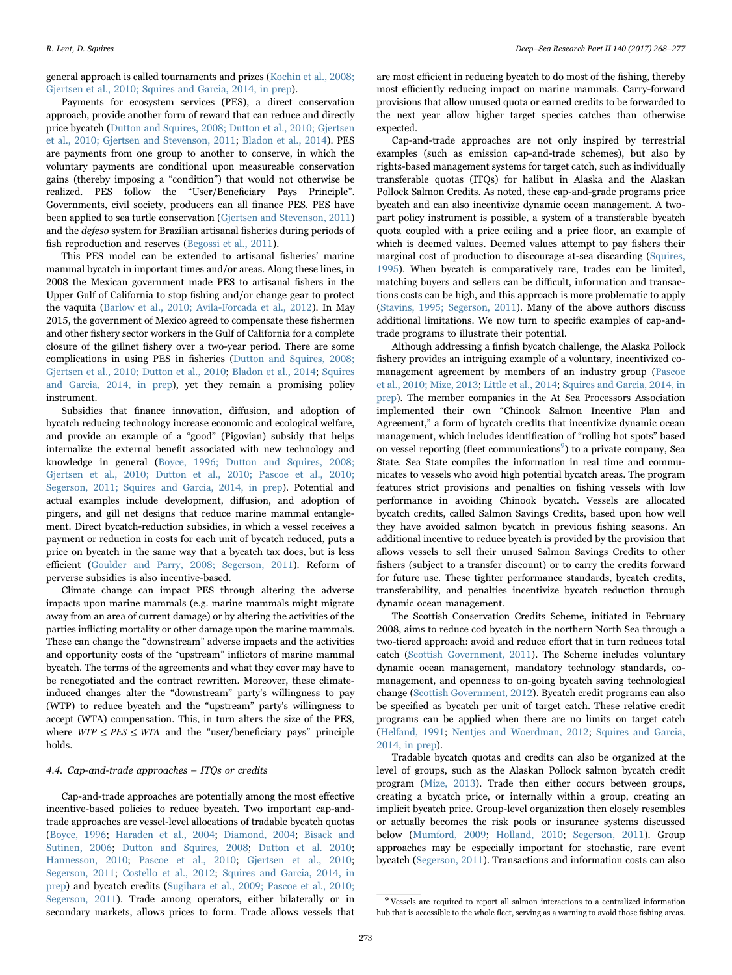general approach is called tournaments and prizes ([Kochin et al., 2008;](#page-9-31) [Gjertsen et al., 2010; Squires and Garcia, 2014, in prep](#page-9-31)).

Payments for ecosystem services (PES), a direct conservation approach, provide another form of reward that can reduce and directly price bycatch ([Dutton and Squires, 2008; Dutton et al., 2010; Gjertsen](#page-8-7) [et al., 2010; Gjertsen and Stevenson, 2011;](#page-8-7) [Bladon et al., 2014](#page-8-13)). PES are payments from one group to another to conserve, in which the voluntary payments are conditional upon measureable conservation gains (thereby imposing a "condition") that would not otherwise be realized. PES follow the "User/Beneficiary Pays Principle". Governments, civil society, producers can all finance PES. PES have been applied to sea turtle conservation ([Gjertsen and Stevenson, 2011\)](#page-8-16) and the defeso system for Brazilian artisanal fisheries during periods of fish reproduction and reserves [\(Begossi et al., 2011](#page-8-17)).

This PES model can be extended to artisanal fisheries' marine mammal bycatch in important times and/or areas. Along these lines, in 2008 the Mexican government made PES to artisanal fishers in the Upper Gulf of California to stop fishing and/or change gear to protect the vaquita [\(Barlow et al., 2010; Avila-Forcada et al., 2012\)](#page-8-18). In May 2015, the government of Mexico agreed to compensate these fishermen and other fishery sector workers in the Gulf of California for a complete closure of the gillnet fishery over a two-year period. There are some complications in using PES in fisheries ([Dutton and Squires, 2008;](#page-8-7) [Gjertsen et al., 2010; Dutton et al., 2010;](#page-8-7) [Bladon et al., 2014](#page-8-13); [Squires](#page-9-8) [and Garcia, 2014, in prep](#page-9-8)), yet they remain a promising policy instrument.

Subsidies that finance innovation, diffusion, and adoption of bycatch reducing technology increase economic and ecological welfare, and provide an example of a "good" (Pigovian) subsidy that helps internalize the external benefit associated with new technology and knowledge in general ([Boyce, 1996; Dutton and Squires, 2008;](#page-8-5) [Gjertsen et al., 2010; Dutton et al., 2010; Pascoe et al., 2010;](#page-8-5) [Segerson, 2011; Squires and Garcia, 2014, in prep\)](#page-8-5). Potential and actual examples include development, diffusion, and adoption of pingers, and gill net designs that reduce marine mammal entanglement. Direct bycatch-reduction subsidies, in which a vessel receives a payment or reduction in costs for each unit of bycatch reduced, puts a price on bycatch in the same way that a bycatch tax does, but is less efficient [\(Goulder and Parry, 2008; Segerson, 2011\)](#page-8-6). Reform of perverse subsidies is also incentive-based.

Climate change can impact PES through altering the adverse impacts upon marine mammals (e.g. marine mammals might migrate away from an area of current damage) or by altering the activities of the parties inflicting mortality or other damage upon the marine mammals. These can change the "downstream" adverse impacts and the activities and opportunity costs of the "upstream" inflictors of marine mammal bycatch. The terms of the agreements and what they cover may have to be renegotiated and the contract rewritten. Moreover, these climateinduced changes alter the "downstream" party's willingness to pay (WTP) to reduce bycatch and the "upstream" party's willingness to accept (WTA) compensation. This, in turn alters the size of the PES, where  $WTP \leq PES \leq WTA$  and the "user/beneficiary pays" principle holds.

#### <span id="page-5-0"></span>4.4. Cap-and-trade approaches – ITQs or credits

Cap-and-trade approaches are potentially among the most effective incentive-based policies to reduce bycatch. Two important cap-andtrade approaches are vessel-level allocations of tradable bycatch quotas ([Boyce, 1996;](#page-8-5) [Haraden et al., 2004;](#page-9-18) [Diamond, 2004](#page-8-19); [Bisack and](#page-8-20) [Sutinen, 2006](#page-8-20); [Dutton and Squires, 2008;](#page-8-7) [Dutton et al. 2010](#page-8-10); [Hannesson, 2010;](#page-9-32) [Pascoe et al., 2010](#page-9-19); [Gjertsen et al., 2010](#page-8-11); [Segerson, 2011](#page-9-33); [Costello et al., 2012;](#page-8-21) [Squires and Garcia, 2014, in](#page-9-8) [prep\)](#page-9-8) and bycatch credits [\(Sugihara et al., 2009; Pascoe et al., 2010;](#page-9-34) [Segerson, 2011\)](#page-9-34). Trade among operators, either bilaterally or in secondary markets, allows prices to form. Trade allows vessels that

are most efficient in reducing bycatch to do most of the fishing, thereby most efficiently reducing impact on marine mammals. Carry-forward provisions that allow unused quota or earned credits to be forwarded to the next year allow higher target species catches than otherwise expected.

Cap-and-trade approaches are not only inspired by terrestrial examples (such as emission cap-and-trade schemes), but also by rights-based management systems for target catch, such as individually transferable quotas (ITQs) for halibut in Alaska and the Alaskan Pollock Salmon Credits. As noted, these cap-and-grade programs price bycatch and can also incentivize dynamic ocean management. A twopart policy instrument is possible, a system of a transferable bycatch quota coupled with a price ceiling and a price floor, an example of which is deemed values. Deemed values attempt to pay fishers their marginal cost of production to discourage at-sea discarding [\(Squires,](#page-9-35) [1995\)](#page-9-35). When bycatch is comparatively rare, trades can be limited, matching buyers and sellers can be difficult, information and transactions costs can be high, and this approach is more problematic to apply ([Stavins, 1995; Segerson, 2011](#page-9-36)). Many of the above authors discuss additional limitations. We now turn to specific examples of cap-andtrade programs to illustrate their potential.

Although addressing a finfish bycatch challenge, the Alaska Pollock fishery provides an intriguing example of a voluntary, incentivized comanagement agreement by members of an industry group ([Pascoe](#page-9-19) [et al., 2010; Mize, 2013](#page-9-19); [Little et al., 2014](#page-9-37); [Squires and Garcia, 2014, in](#page-9-8) [prep\)](#page-9-8). The member companies in the At Sea Processors Association implemented their own "Chinook Salmon Incentive Plan and Agreement," a form of bycatch credits that incentivize dynamic ocean management, which includes identification of "rolling hot spots" based on vessel reporting (fleet communications<sup>9</sup>[\) to a private company, Sea](#page-5-1) State. Sea State compiles the information in real time and communicates to vessels who avoid high potential bycatch areas. The program features strict provisions and penalties on fishing vessels with low performance in avoiding Chinook bycatch. Vessels are allocated bycatch credits, called Salmon Savings Credits, based upon how well they have avoided salmon bycatch in previous fishing seasons. An additional incentive to reduce bycatch is provided by the provision that allows vessels to sell their unused Salmon Savings Credits to other fishers (subject to a transfer discount) or to carry the credits forward for future use. These tighter performance standards, bycatch credits, transferability, and penalties incentivize bycatch reduction through dynamic ocean management.

The Scottish Conservation Credits Scheme, initiated in February 2008, aims to reduce cod bycatch in the northern North Sea through a two-tiered approach: avoid and reduce effort that in turn reduces total catch [\(Scottish Government, 2011\)](#page-9-30). The Scheme includes voluntary dynamic ocean management, mandatory technology standards, comanagement, and openness to on-going bycatch saving technological change ([Scottish Government, 2012](#page-9-38)). Bycatch credit programs can also be specified as bycatch per unit of target catch. These relative credit programs can be applied when there are no limits on target catch ([Helfand, 1991;](#page-9-23) [Nentjes and Woerdman, 2012](#page-9-24); [Squires and Garcia,](#page-9-8) [2014, in prep](#page-9-8)).

Tradable bycatch quotas and credits can also be organized at the level of groups, such as the Alaskan Pollock salmon bycatch credit program [\(Mize, 2013](#page-9-39)). Trade then either occurs between groups, creating a bycatch price, or internally within a group, creating an implicit bycatch price. Group-level organization then closely resembles or actually becomes the risk pools or insurance systems discussed below [\(Mumford, 2009;](#page-9-40) [Holland, 2010](#page-9-41); [Segerson, 2011](#page-9-33)). Group approaches may be especially important for stochastic, rare event bycatch ([Segerson, 2011](#page-9-33)). Transactions and information costs can also

<span id="page-5-1"></span> $^9$  Vessels are required to report all salmon interactions to a centralized information hub that is accessible to the whole fleet, serving as a warning to avoid those fishing areas.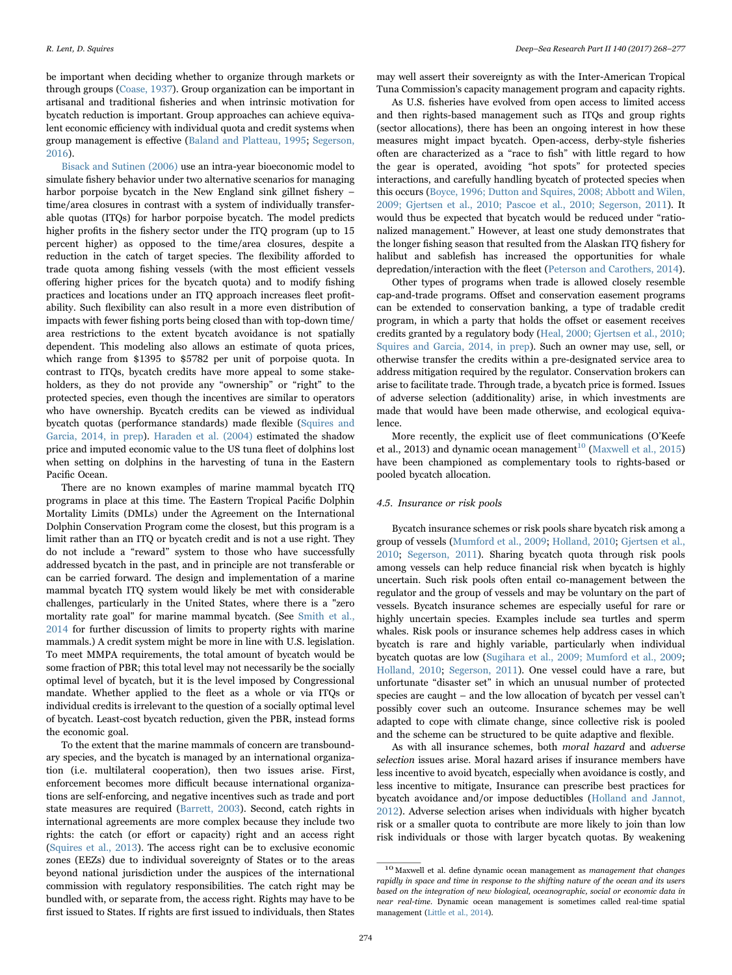be important when deciding whether to organize through markets or through groups [\(Coase, 1937](#page-8-22)). Group organization can be important in artisanal and traditional fisheries and when intrinsic motivation for bycatch reduction is important. Group approaches can achieve equivalent economic efficiency with individual quota and credit systems when group management is effective ([Baland and Platteau, 1995](#page-8-23); [Segerson,](#page-9-42) [2016\)](#page-9-42).

[Bisack and Sutinen \(2006\)](#page-8-20) use an intra-year bioeconomic model to simulate fishery behavior under two alternative scenarios for managing harbor porpoise bycatch in the New England sink gillnet fishery – time/area closures in contrast with a system of individually transferable quotas (ITQs) for harbor porpoise bycatch. The model predicts higher profits in the fishery sector under the ITO program (up to 15 percent higher) as opposed to the time/area closures, despite a reduction in the catch of target species. The flexibility afforded to trade quota among fishing vessels (with the most efficient vessels offering higher prices for the bycatch quota) and to modify fishing practices and locations under an ITQ approach increases fleet profitability. Such flexibility can also result in a more even distribution of impacts with fewer fishing ports being closed than with top-down time/ area restrictions to the extent bycatch avoidance is not spatially dependent. This modeling also allows an estimate of quota prices, which range from \$1395 to \$5782 per unit of porpoise quota. In contrast to ITQs, bycatch credits have more appeal to some stakeholders, as they do not provide any "ownership" or "right" to the protected species, even though the incentives are similar to operators who have ownership. Bycatch credits can be viewed as individual bycatch quotas (performance standards) made flexible [\(Squires and](#page-9-8) [Garcia, 2014, in prep\)](#page-9-8). [Haraden et al. \(2004\)](#page-9-18) estimated the shadow price and imputed economic value to the US tuna fleet of dolphins lost when setting on dolphins in the harvesting of tuna in the Eastern Pacific Ocean.

There are no known examples of marine mammal bycatch ITQ programs in place at this time. The Eastern Tropical Pacific Dolphin Mortality Limits (DMLs) under the Agreement on the International Dolphin Conservation Program come the closest, but this program is a limit rather than an ITQ or bycatch credit and is not a use right. They do not include a "reward" system to those who have successfully addressed bycatch in the past, and in principle are not transferable or can be carried forward. The design and implementation of a marine mammal bycatch ITQ system would likely be met with considerable challenges, particularly in the United States, where there is a "zero mortality rate goal" for marine mammal bycatch. (See [Smith et al.,](#page-9-43) [2014](#page-9-43) for further discussion of limits to property rights with marine mammals.) A credit system might be more in line with U.S. legislation. To meet MMPA requirements, the total amount of bycatch would be some fraction of PBR; this total level may not necessarily be the socially optimal level of bycatch, but it is the level imposed by Congressional mandate. Whether applied to the fleet as a whole or via ITQs or individual credits is irrelevant to the question of a socially optimal level of bycatch. Least-cost bycatch reduction, given the PBR, instead forms the economic goal.

To the extent that the marine mammals of concern are transboundary species, and the bycatch is managed by an international organization (i.e. multilateral cooperation), then two issues arise. First, enforcement becomes more difficult because international organizations are self-enforcing, and negative incentives such as trade and port state measures are required ([Barrett, 2003](#page-8-24)). Second, catch rights in international agreements are more complex because they include two rights: the catch (or effort or capacity) right and an access right ([Squires et al., 2013\)](#page-9-44). The access right can be to exclusive economic zones (EEZs) due to individual sovereignty of States or to the areas beyond national jurisdiction under the auspices of the international commission with regulatory responsibilities. The catch right may be bundled with, or separate from, the access right. Rights may have to be first issued to States. If rights are first issued to individuals, then States

may well assert their sovereignty as with the Inter-American Tropical Tuna Commission's capacity management program and capacity rights.

As U.S. fisheries have evolved from open access to limited access and then rights-based management such as ITQs and group rights (sector allocations), there has been an ongoing interest in how these measures might impact bycatch. Open-access, derby-style fisheries often are characterized as a "race to fish" with little regard to how the gear is operated, avoiding "hot spots" for protected species interactions, and carefully handling bycatch of protected species when this occurs ([Boyce, 1996; Dutton and Squires, 2008; Abbott and Wilen,](#page-8-5) [2009; Gjertsen et al., 2010; Pascoe et al., 2010; Segerson, 2011](#page-8-5)). It would thus be expected that bycatch would be reduced under "rationalized management." However, at least one study demonstrates that the longer fishing season that resulted from the Alaskan ITQ fishery for halibut and sablefish has increased the opportunities for whale depredation/interaction with the fleet [\(Peterson and Carothers, 2014\)](#page-9-45).

Other types of programs when trade is allowed closely resemble cap-and-trade programs. Offset and conservation easement programs can be extended to conservation banking, a type of tradable credit program, in which a party that holds the offset or easement receives credits granted by a regulatory body ([Heal, 2000; Gjertsen et al., 2010;](#page-9-46) Squires [and Garcia, 2014, in prep](#page-9-46)). Such an owner may use, sell, or otherwise transfer the credits within a pre-designated service area to address mitigation required by the regulator. Conservation brokers can arise to facilitate trade. Through trade, a bycatch price is formed. Issues of adverse selection (additionality) arise, in which investments are made that would have been made otherwise, and ecological equivalence.

More recently, the explicit use of fleet communications (O'Keefe et al., 2013) and dynamic ocean management<sup>[10](#page-6-1)</sup> [\(Maxwell et al., 2015\)](#page-9-47) have been championed as complementary tools to rights-based or pooled bycatch allocation.

#### <span id="page-6-0"></span>4.5. Insurance or risk pools

Bycatch insurance schemes or risk pools share bycatch risk among a group of vessels ([Mumford et al., 2009;](#page-9-40) [Holland, 2010;](#page-9-41) [Gjertsen et al.,](#page-8-11) [2010;](#page-8-11) [Segerson, 2011\)](#page-9-33). Sharing bycatch quota through risk pools among vessels can help reduce financial risk when bycatch is highly uncertain. Such risk pools often entail co-management between the regulator and the group of vessels and may be voluntary on the part of vessels. Bycatch insurance schemes are especially useful for rare or highly uncertain species. Examples include sea turtles and sperm whales. Risk pools or insurance schemes help address cases in which bycatch is rare and highly variable, particularly when individual bycatch quotas are low ([Sugihara et al., 2009; Mumford et al., 2009](#page-9-34); [Holland, 2010](#page-9-41); [Segerson, 2011\)](#page-9-33). One vessel could have a rare, but unfortunate "disaster set" in which an unusual number of protected species are caught – and the low allocation of bycatch per vessel can't possibly cover such an outcome. Insurance schemes may be well adapted to cope with climate change, since collective risk is pooled and the scheme can be structured to be quite adaptive and flexible.

As with all insurance schemes, both moral hazard and adverse selection issues arise. Moral hazard arises if insurance members have less incentive to avoid bycatch, especially when avoidance is costly, and less incentive to mitigate, Insurance can prescribe best practices for bycatch avoidance and/or impose deductibles [\(Holland and Jannot,](#page-9-41) [2012\)](#page-9-41). Adverse selection arises when individuals with higher bycatch risk or a smaller quota to contribute are more likely to join than low risk individuals or those with larger bycatch quotas. By weakening

<span id="page-6-1"></span><sup>&</sup>lt;sup>10</sup> Maxwell et al. define dynamic ocean management as management that changes rapidly in space and time in response to the shifting nature of the ocean and its users based on the integration of new biological, oceanographic, social or economic data in near real-time. Dynamic ocean management is sometimes called real-time spatial management ([Little et al., 2014](#page-9-37)).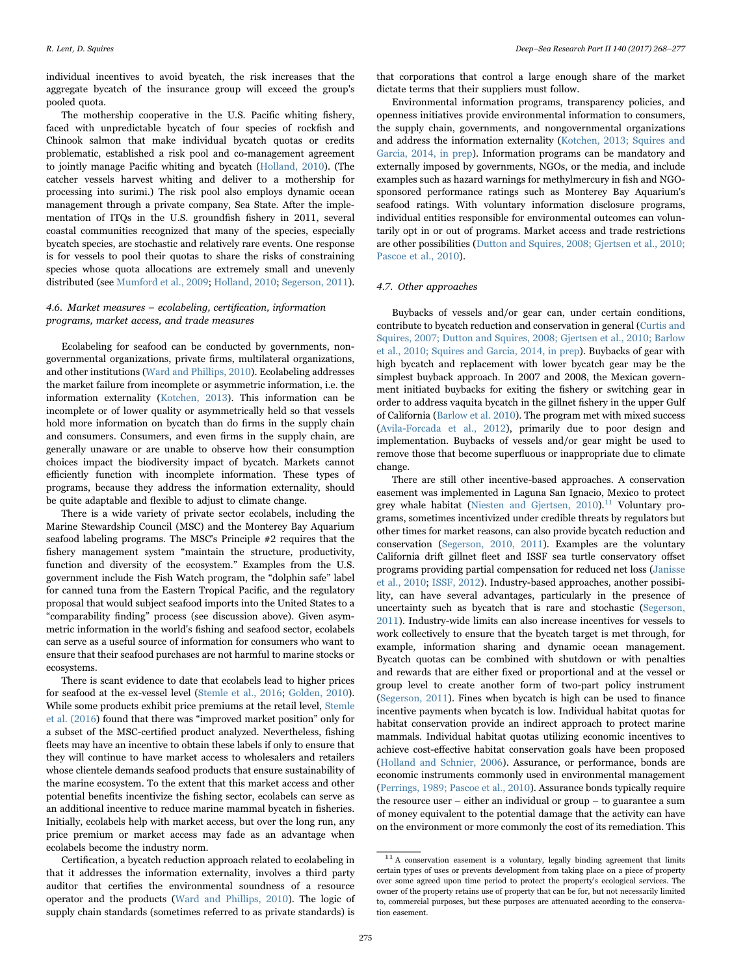individual incentives to avoid bycatch, the risk increases that the aggregate bycatch of the insurance group will exceed the group's pooled quota.

The mothership cooperative in the U.S. Pacific whiting fishery, faced with unpredictable bycatch of four species of rockfish and Chinook salmon that make individual bycatch quotas or credits problematic, established a risk pool and co-management agreement to jointly manage Pacific whiting and bycatch ([Holland, 2010\)](#page-9-41). (The catcher vessels harvest whiting and deliver to a mothership for processing into surimi.) The risk pool also employs dynamic ocean management through a private company, Sea State. After the implementation of ITQs in the U.S. groundfish fishery in 2011, several coastal communities recognized that many of the species, especially bycatch species, are stochastic and relatively rare events. One response is for vessels to pool their quotas to share the risks of constraining species whose quota allocations are extremely small and unevenly distributed (see [Mumford et al., 2009;](#page-9-40) [Holland, 2010;](#page-9-41) [Segerson, 2011\)](#page-9-33).

#### <span id="page-7-0"></span>4.6. Market measures – ecolabeling, certification, information programs, market access, and trade measures

Ecolabeling for seafood can be conducted by governments, nongovernmental organizations, private firms, multilateral organizations, and other institutions ([Ward and Phillips, 2010](#page-9-48)). Ecolabeling addresses the market failure from incomplete or asymmetric information, i.e. the information externality ([Kotchen, 2013](#page-9-49)). This information can be incomplete or of lower quality or asymmetrically held so that vessels hold more information on bycatch than do firms in the supply chain and consumers. Consumers, and even firms in the supply chain, are generally unaware or are unable to observe how their consumption choices impact the biodiversity impact of bycatch. Markets cannot efficiently function with incomplete information. These types of programs, because they address the information externality, should be quite adaptable and flexible to adjust to climate change.

There is a wide variety of private sector ecolabels, including the Marine Stewardship Council (MSC) and the Monterey Bay Aquarium seafood labeling programs. The MSC's Principle #2 requires that the fishery management system "maintain the structure, productivity, function and diversity of the ecosystem." Examples from the U.S. government include the Fish Watch program, the "dolphin safe" label for canned tuna from the Eastern Tropical Pacific, and the regulatory proposal that would subject seafood imports into the United States to a "comparability finding" process (see discussion above). Given asymmetric information in the world's fishing and seafood sector, ecolabels can serve as a useful source of information for consumers who want to ensure that their seafood purchases are not harmful to marine stocks or ecosystems.

There is scant evidence to date that ecolabels lead to higher prices for seafood at the ex-vessel level (Stemle [et al., 2016;](#page-9-50) [Golden, 2010\)](#page-8-25). While some products exhibit price premiums at the retail level, [Stemle](#page-9-50) [et al. \(2016](#page-9-50)) found that there was "improved market position" only for a subset of the MSC-certified product analyzed. Nevertheless, fishing fleets may have an incentive to obtain these labels if only to ensure that they will continue to have market access to wholesalers and retailers whose clientele demands seafood products that ensure sustainability of the marine ecosystem. To the extent that this market access and other potential benefits incentivize the fishing sector, ecolabels can serve as an additional incentive to reduce marine mammal bycatch in fisheries. Initially, ecolabels help with market access, but over the long run, any price premium or market access may fade as an advantage when ecolabels become the industry norm.

Certification, a bycatch reduction approach related to ecolabeling in that it addresses the information externality, involves a third party auditor that certifies the environmental soundness of a resource operator and the products ([Ward and Phillips, 2010\)](#page-9-48). The logic of supply chain standards (sometimes referred to as private standards) is

that corporations that control a large enough share of the market dictate terms that their suppliers must follow.

Environmental information programs, transparency policies, and openness initiatives provide environmental information to consumers, the supply chain, governments, and nongovernmental organizations and address the information externality ([Kotchen, 2013; Squires and](#page-9-49) [Garcia, 2014, in prep](#page-9-49)). Information programs can be mandatory and externally imposed by governments, NGOs, or the media, and include examples such as hazard warnings for methylmercury in fish and NGOsponsored performance ratings such as Monterey Bay Aquarium's seafood ratings. With voluntary information disclosure programs, individual entities responsible for environmental outcomes can voluntarily opt in or out of programs. Market access and trade restrictions are other possibilities ([Dutton and Squires, 2008; Gjertsen et al., 2010;](#page-8-7) [Pascoe et al., 2010\)](#page-8-7).

#### <span id="page-7-1"></span>4.7. Other approaches

Buybacks of vessels and/or gear can, under certain conditions, contribute to bycatch reduction and conservation in general ([Curtis and](#page-8-26) [Squires, 2007; Dutton and Squires, 2008; Gjertsen et al., 2010; Barlow](#page-8-26) [et al., 2010; Squires and Garcia, 2014, in prep\)](#page-8-26). Buybacks of gear with high bycatch and replacement with lower bycatch gear may be the simplest buyback approach. In 2007 and 2008, the Mexican government initiated buybacks for exiting the fishery or switching gear in order to address vaquita bycatch in the gillnet fishery in the upper Gulf of California [\(Barlow et al. 2010](#page-8-18)). The program met with mixed success ([Avila-Forcada et al., 2012\)](#page-8-27), primarily due to poor design and implementation. Buybacks of vessels and/or gear might be used to remove those that become superfluous or inappropriate due to climate change.

There are still other incentive-based approaches. A conservation easement was implemented in Laguna San Ignacio, Mexico to protect grey whale habitat (Niesten and Gjertsen,  $2010$ ).<sup>11</sup> [Voluntary pro](#page-7-2)grams, sometimes incentivized under credible threats by regulators but other times for market reasons, can also provide bycatch reduction and conservation ([Segerson, 2010, 2011\)](#page-9-45). Examples are the voluntary California drift gillnet fleet and ISSF sea turtle conservatory offset programs providing partial compensation for reduced net loss ([Janisse](#page-9-16) [et al., 2010;](#page-9-16) [ISSF, 2012](#page-9-26)). Industry-based approaches, another possibility, can have several advantages, particularly in the presence of uncertainty such as bycatch that is rare and stochastic ([Segerson,](#page-9-33) [2011\)](#page-9-33). Industry-wide limits can also increase incentives for vessels to work collectively to ensure that the bycatch target is met through, for example, information sharing and dynamic ocean management. Bycatch quotas can be combined with shutdown or with penalties and rewards that are either fixed or proportional and at the vessel or group level to create another form of two-part policy instrument ([Segerson, 2011\)](#page-9-33). Fines when bycatch is high can be used to finance incentive payments when bycatch is low. Individual habitat quotas for habitat conservation provide an indirect approach to protect marine mammals. Individual habitat quotas utilizing economic incentives to achieve cost-effective habitat conservation goals have been proposed ([Holland and Schnier, 2006](#page-9-23)). Assurance, or performance, bonds are economic instruments commonly used in environmental management ([Perrings, 1989; Pascoe et al., 2010](#page-9-52)). Assurance bonds typically require the resource user – either an individual or group – to guarantee a sum of money equivalent to the potential damage that the activity can have on the environment or more commonly the cost of its remediation. This

<span id="page-7-2"></span> $11$  A conservation easement is a voluntary, legally binding agreement that limits certain types of uses or prevents development from taking place on a piece of property over some agreed upon time period to protect the property's ecological services. The owner of the property retains use of property that can be for, but not necessarily limited to, commercial purposes, but these purposes are attenuated according to the conservation easement.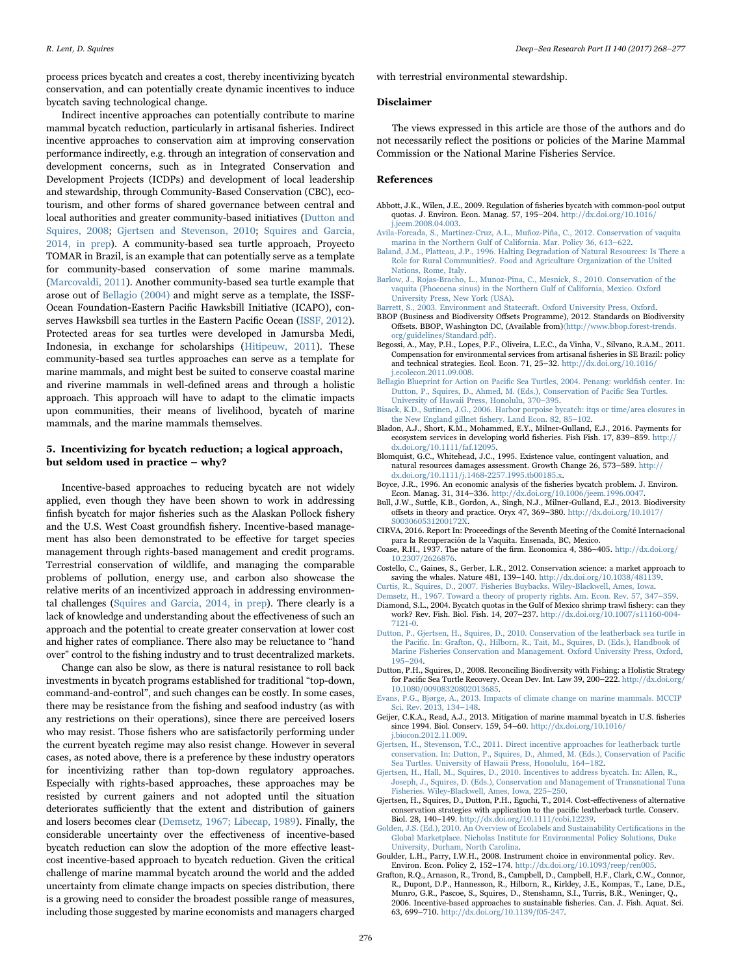process prices bycatch and creates a cost, thereby incentivizing bycatch conservation, and can potentially create dynamic incentives to induce bycatch saving technological change.

Indirect incentive approaches can potentially contribute to marine mammal bycatch reduction, particularly in artisanal fisheries. Indirect incentive approaches to conservation aim at improving conservation performance indirectly, e.g. through an integration of conservation and development concerns, such as in Integrated Conservation and Development Projects (ICDPs) and development of local leadership and stewardship, through Community-Based Conservation (CBC), ecotourism, and other forms of shared governance between central and local authorities and greater community-based initiatives ([Dutton and](#page-8-7) [Squires, 2008;](#page-8-7) [Gjertsen and Stevenson, 2010](#page-8-16); [Squires and Garcia,](#page-9-8) [2014, in prep](#page-9-8)). A community-based sea turtle approach, Proyecto TOMAR in Brazil, is an example that can potentially serve as a template for community-based conservation of some marine mammals. ([Marcovaldi, 2011\)](#page-9-53). Another community-based sea turtle example that arose out of [Bellagio \(2004\)](#page-8-9) and might serve as a template, the ISSF-Ocean Foundation-Eastern Pacific Hawksbill Initiative (ICAPO), conserves Hawksbill sea turtles in the Eastern Pacific Ocean [\(ISSF, 2012\)](#page-9-26). Protected areas for sea turtles were developed in Jamursba Medi, Indonesia, in exchange for scholarships [\(Hitipeuw, 2011](#page-9-54)). These community-based sea turtles approaches can serve as a template for marine mammals, and might best be suited to conserve coastal marine and riverine mammals in well-defined areas and through a holistic approach. This approach will have to adapt to the climatic impacts upon communities, their means of livelihood, bycatch of marine mammals, and the marine mammals themselves.

# <span id="page-8-3"></span>5. Incentivizing for bycatch reduction; a logical approach, but seldom used in practice – why?

Incentive-based approaches to reducing bycatch are not widely applied, even though they have been shown to work in addressing finfish bycatch for major fisheries such as the Alaskan Pollock fishery and the U.S. West Coast groundfish fishery. Incentive-based management has also been demonstrated to be effective for target species management through rights-based management and credit programs. Terrestrial conservation of wildlife, and managing the comparable problems of pollution, energy use, and carbon also showcase the relative merits of an incentivized approach in addressing environmental challenges ([Squires and Garcia, 2014, in prep](#page-9-8)). There clearly is a lack of knowledge and understanding about the effectiveness of such an approach and the potential to create greater conservation at lower cost and higher rates of compliance. There also may be reluctance to "hand over" control to the fishing industry and to trust decentralized markets.

Change can also be slow, as there is natural resistance to roll back investments in bycatch programs established for traditional "top-down, command-and-control", and such changes can be costly. In some cases, there may be resistance from the fishing and seafood industry (as with any restrictions on their operations), since there are perceived losers who may resist. Those fishers who are satisfactorily performing under the current bycatch regime may also resist change. However in several cases, as noted above, there is a preference by these industry operators for incentivizing rather than top-down regulatory approaches. Especially with rights-based approaches, these approaches may be resisted by current gainers and not adopted until the situation deteriorates sufficiently that the extent and distribution of gainers and losers becomes clear [\(Demsetz, 1967; Libecap, 1989\)](#page-8-28). Finally, the considerable uncertainty over the effectiveness of incentive-based bycatch reduction can slow the adoption of the more effective leastcost incentive-based approach to bycatch reduction. Given the critical challenge of marine mammal bycatch around the world and the added uncertainty from climate change impacts on species distribution, there is a growing need to consider the broadest possible range of measures, including those suggested by marine economists and managers charged with terrestrial environmental stewardship.

#### Disclaimer

The views expressed in this article are those of the authors and do not necessarily reflect the positions or policies of the Marine Mammal Commission or the National Marine Fisheries Service.

#### References

- Abbott, J.K., Wilen, J.E., 2009. Regulation of fisheries bycatch with common-pool output quotas. J. Environ. Econ. Manag. 57, 195–204. [http://dx.doi.org/10.1016/](http://dx.doi.org/10.1016/j.jeem.2008.04.003) [j.jeem.2008.04.003](http://dx.doi.org/10.1016/j.jeem.2008.04.003).
- <span id="page-8-27"></span>[Avila-Forcada, S., Martínez-Cruz, A.L., Muñoz-Piña, C., 2012. Conservation of vaquita](http://refhub.elsevier.com/S0967-0645(17)30064-4/sbref2)
- <span id="page-8-23"></span>[marina in the Northern Gulf of California. Mar. Policy 36, 613](http://refhub.elsevier.com/S0967-0645(17)30064-4/sbref2)–622. [Baland, J.M., Platteau, J.P., 1996. Halting Degradation of Natural Resources: Is There a](http://refhub.elsevier.com/S0967-0645(17)30064-4/sbref3) [Role for Rural Communities?. Food and Agriculture Organization of the United](http://refhub.elsevier.com/S0967-0645(17)30064-4/sbref3) [Nations, Rome, Italy.](http://refhub.elsevier.com/S0967-0645(17)30064-4/sbref3)
- <span id="page-8-18"></span>[Barlow, J., Rojas-Bracho, L., Munoz-Pina, C., Mesnick, S., 2010. Conservation of the](http://refhub.elsevier.com/S0967-0645(17)30064-4/sbref4) [vaquita \(Phocoena sinus\) in the Northern Gulf of California, Mexico. Oxford](http://refhub.elsevier.com/S0967-0645(17)30064-4/sbref4) [University Press, New York \(USA\).](http://refhub.elsevier.com/S0967-0645(17)30064-4/sbref4)
- <span id="page-8-24"></span><span id="page-8-14"></span>[Barrett, S., 2003. Environment and Statecraft. Oxford University Press, Oxford](http://refhub.elsevier.com/S0967-0645(17)30064-4/sbref5). BBOP (Business and Biodiversity Offsets Programme), 2012. Standards on Biodiversity
- Offsets. BBOP, Washington DC, (Available from)〈[http://www.bbop.forest-trends.](http://www.bbop.forest-trends.org/guidelines/Standard.pdf) [org/guidelines/Standard.pdf](http://www.bbop.forest-trends.org/guidelines/Standard.pdf)〉.
- <span id="page-8-17"></span>Begossi, A., May, P.H., Lopes, P.F., Oliveira, L.E.C., da Vinha, V., Silvano, R.A.M., 2011. Compensation for environmental services from artisanal fisheries in SE Brazil: policy and technical strategies. Ecol. Econ. 71, 25–32. [http://dx.doi.org/10.1016/](http://dx.doi.org/10.1016/j.ecolecon.2011.09.008) [j.ecolecon.2011.09.008](http://dx.doi.org/10.1016/j.ecolecon.2011.09.008).
- <span id="page-8-9"></span>[Bellagio Blueprint for Action on Paci](http://refhub.elsevier.com/S0967-0645(17)30064-4/sbref8)fic Sea Turtles, 2004. Penang: worldfish center. In: [Dutton, P., Squires, D., Ahmed, M. \(Eds.\), Conservation of Paci](http://refhub.elsevier.com/S0967-0645(17)30064-4/sbref8)fic Sea Turtles. [University of Hawaii Press, Honolulu, 370](http://refhub.elsevier.com/S0967-0645(17)30064-4/sbref8)–395.
- <span id="page-8-20"></span>[Bisack, K.D., Sutinen, J.G., 2006. Harbor porpoise bycatch: itqs or time/area closures in](http://refhub.elsevier.com/S0967-0645(17)30064-4/sbref9) the New England gillnet fi[shery. Land Econ. 82, 85](http://refhub.elsevier.com/S0967-0645(17)30064-4/sbref9)–102.
- <span id="page-8-13"></span>Bladon, A.J., Short, K.M., Mohammed, E.Y., Milner-Gulland, E.J., 2016. Payments for ecosystem services in developing world fisheries. Fish Fish. 17, 839–859. [http://](http://dx.doi.org/10.1111/faf.12095) [dx.doi.org/10.1111/faf.12095](http://dx.doi.org/10.1111/faf.12095).
- <span id="page-8-8"></span>Blomquist, G.C., Whitehead, J.C., 1995. Existence value, contingent valuation, and natural resources damages assessment. Growth Change 26, 573–589. [http://](http://dx.doi.org/10.1111/j.1468-2257.1995.tb00185.x) [dx.doi.org/10.1111/j.1468-2257.1995.tb00185.x.](http://dx.doi.org/10.1111/j.1468-2257.1995.tb00185.x)
- <span id="page-8-5"></span>Boyce, J.R., 1996. An economic analysis of the fisheries bycatch problem. J. Environ. Econ. Manag. 31, 314-336. http://dx.doi.org/10.1006/jeem.1
- <span id="page-8-15"></span>Bull, J.W., Suttle, K.B., Gordon, A., Singh, N.J., Milner-Gulland, E.J., 2013. Biodiversity offsets in theory and practice. Oryx 47, 369–380. [http://dx.doi.org/10.1017/](http://dx.doi.org/10.1017/S003060531200172X) [S003060531200172X.](http://dx.doi.org/10.1017/S003060531200172X)
- <span id="page-8-0"></span>CIRVA, 2016. Report In: Proceedings of the Seventh Meeting of the Comité Internacional para la Recuperación de la Vaquita. Ensenada, BC, Mexico.
- <span id="page-8-22"></span>Coase, R.H., 1937. The nature of the firm. Economica 4, 386–405. [http://dx.doi.org/](http://dx.doi.org/10.2307/2626876) [10.2307/2626876.](http://dx.doi.org/10.2307/2626876)
- <span id="page-8-21"></span>Costello, C., Gaines, S., Gerber, L.R., 2012. Conservation science: a market approach to saving the whales. Nature 481, 139–140. [http://dx.doi.org/10.1038/481139.](http://dx.doi.org/10.1038/481139)<br>[Curtis, R., Squires, D., 2007. Fisheries Buybacks. Wiley-Blackwell, Ames, Iowa](http://refhub.elsevier.com/S0967-0645(17)30064-4/sbref16).<br>Demsetz, H., 1967. Toward a theory of property rights. Am. Econ. Rev

<span id="page-8-28"></span><span id="page-8-26"></span>

- <span id="page-8-19"></span>Diamond, S.L., 2004. Bycatch quotas in the Gulf of Mexico shrimp trawl fishery: can they work? Rev. Fish. Biol. Fish. 14, 207–237. [http://dx.doi.org/10.1007/s11160-004-](http://dx.doi.org/10.1007/s11160-004-7121-0) [7121-0.](http://dx.doi.org/10.1007/s11160-004-7121-0)
- <span id="page-8-10"></span>[Dutton, P., Gjertsen, H., Squires, D., 2010. Conservation of the leatherback sea turtle in](http://refhub.elsevier.com/S0967-0645(17)30064-4/sbref19) the Pacifi[c. In: Grafton, Q., Hilborn, R., Tait, M., Squires, D. \(Eds.\), Handbook of](http://refhub.elsevier.com/S0967-0645(17)30064-4/sbref19) [Marine Fisheries Conservation and Management. Oxford University Press, Oxford,](http://refhub.elsevier.com/S0967-0645(17)30064-4/sbref19) 195–[204](http://refhub.elsevier.com/S0967-0645(17)30064-4/sbref19).
- <span id="page-8-7"></span>Dutton, P.H., Squires, D., 2008. Reconciling Biodiversity with Fishing: a Holistic Strategy for Pacific Sea Turtle Recovery. Ocean Dev. Int. Law 39, 200–222. [http://dx.doi.org/](http://dx.doi.org/10.1080/00908320802013685) [10.1080/00908320802013685.](http://dx.doi.org/10.1080/00908320802013685)
- <span id="page-8-2"></span>[Evans, P.G., Bjørge, A., 2013. Impacts of climate change on marine mammals. MCCIP](http://refhub.elsevier.com/S0967-0645(17)30064-4/sbref21) [Sci. Rev. 2013, 134](http://refhub.elsevier.com/S0967-0645(17)30064-4/sbref21)–148.
- <span id="page-8-1"></span>Geijer, C.K.A., Read, A.J., 2013. Mitigation of marine mammal bycatch in U.S. fisheries since 1994. Biol. Conserv. 159, 54–60. [http://dx.doi.org/10.1016/](http://dx.doi.org/10.1016/j.biocon.2012.11.009) [j.biocon.2012.11.009.](http://dx.doi.org/10.1016/j.biocon.2012.11.009)
- <span id="page-8-16"></span>[Gjertsen, H., Stevenson, T.C., 2011. Direct incentive approaches for leatherback turtle](http://refhub.elsevier.com/S0967-0645(17)30064-4/sbref23) [conservation. In: Dutton, P., Squires, D., Ahmed, M. \(Eds.\), Conservation of Paci](http://refhub.elsevier.com/S0967-0645(17)30064-4/sbref23)fic [Sea Turtles. University of Hawaii Press, Honolulu, 164](http://refhub.elsevier.com/S0967-0645(17)30064-4/sbref23)–182.
- <span id="page-8-11"></span>[Gjertsen, H., Hall, M., Squires, D., 2010. Incentives to address bycatch. In: Allen, R.,](http://refhub.elsevier.com/S0967-0645(17)30064-4/sbref24) [Joseph, J., Squires, D. \(Eds.\), Conservation and Management of Transnational Tuna](http://refhub.elsevier.com/S0967-0645(17)30064-4/sbref24) [Fisheries. Wiley-Blackwell, Ames, Iowa, 225](http://refhub.elsevier.com/S0967-0645(17)30064-4/sbref24)–250.
- <span id="page-8-12"></span>Gjertsen, H., Squires, D., Dutton, P.H., Eguchi, T., 2014. Cost-effectiveness of alternative conservation strategies with application to the pacific leatherback turtle. Conserv. Biol. 28, 140–149. <http://dx.doi.org/10.1111/cobi.12239>.
- <span id="page-8-25"></span>[Golden, J.S. \(Ed.\), 2010. An Overview of Ecolabels and Sustainability Certi](http://refhub.elsevier.com/S0967-0645(17)30064-4/sbref26)fications in the [Global Marketplace. Nicholas Institute for Environmental Policy Solutions, Duke](http://refhub.elsevier.com/S0967-0645(17)30064-4/sbref26) [University, Durham, North Carolina](http://refhub.elsevier.com/S0967-0645(17)30064-4/sbref26).
- <span id="page-8-6"></span>Goulder, L.H., Parry, I.W.H., 2008. Instrument choice in environmental policy. Rev. Environ. Econ. Policy 2, 152–174. [http://dx.doi.org/10.1093/reep/ren005.](http://dx.doi.org/10.1093/reep/ren005)
- <span id="page-8-4"></span>Grafton, R.Q., Arnason, R., Trond, B., Campbell, D., Campbell, H.F., Clark, C.W., Connor, R., Dupont, D.P., Hannesson, R., Hilborn, R., Kirkley, J.E., Kompas, T., Lane, D.E., Munro, G.R., Pascoe, S., Squires, D., Stenshamn, S.I., Turris, B.R., Weninger, Q., 2006. Incentive-based approaches to sustainable fisheries. Can. J. Fish. Aquat. Sci. 63, 699–710. <http://dx.doi.org/10.1139/f05-247>.